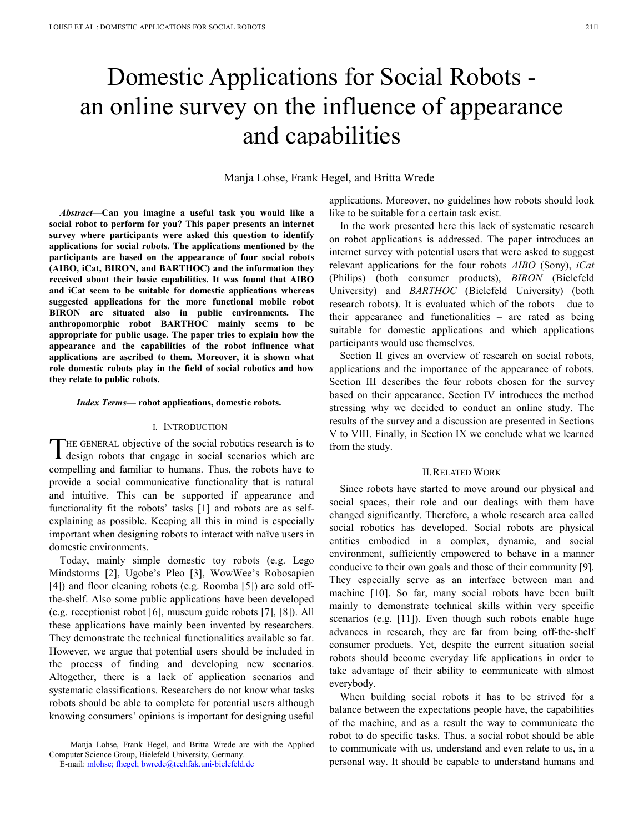# Domestic Applications for Social Robots an online survey on the influence of appearance and capabilities

# Manja Lohse, Frank Hegel, and Britta Wrede

*Abstract***—Can you imagine a useful task you would like a social robot to perform for you? This paper presents an internet survey where participants were asked this question to identify applications for social robots. The applications mentioned by the participants are based on the appearance of four social robots (AIBO, iCat, BIRON, and BARTHOC) and the information they received about their basic capabilities. It was found that AIBO and iCat seem to be suitable for domestic applications whereas suggested applications for the more functional mobile robot BIRON are situated also in public environments. The anthropomorphic robot BARTHOC mainly seems to be appropriate for public usage. The paper tries to explain how the appearance and the capabilities of the robot influence what applications are ascribed to them. Moreover, it is shown what role domestic robots play in the field of social robotics and how they relate to public robots.** 

#### *Index Terms***— robot applications, domestic robots.**

## I. INTRODUCTION

HE GENERAL objective of the social robotics research is to THE GENERAL objective of the social robotics research is to design robots that engage in social scenarios which are compelling and familiar to humans. Thus, the robots have to provide a social communicative functionality that is natural and intuitive. This can be supported if appearance and functionality fit the robots' tasks [1] and robots are as selfexplaining as possible. Keeping all this in mind is especially important when designing robots to interact with naïve users in domestic environments.

Today, mainly simple domestic toy robots (e.g. Lego Mindstorms [2], Ugobe's Pleo [3], WowWee's Robosapien [4]) and floor cleaning robots (e.g. Roomba [5]) are sold offthe-shelf. Also some public applications have been developed (e.g. receptionist robot [6], museum guide robots [7], [8]). All these applications have mainly been invented by researchers. They demonstrate the technical functionalities available so far. However, we argue that potential users should be included in the process of finding and developing new scenarios. Altogether, there is a lack of application scenarios and systematic classifications. Researchers do not know what tasks robots should be able to complete for potential users although knowing consumers' opinions is important for designing useful

-

applications. Moreover, no guidelines how robots should look like to be suitable for a certain task exist.

In the work presented here this lack of systematic research on robot applications is addressed. The paper introduces an internet survey with potential users that were asked to suggest relevant applications for the four robots *AIBO* (Sony), *iCat*  (Philips) (both consumer products), *BIRON* (Bielefeld University) and *BARTHOC* (Bielefeld University) (both research robots). It is evaluated which of the robots – due to their appearance and functionalities – are rated as being suitable for domestic applications and which applications participants would use themselves.

Section II gives an overview of research on social robots, applications and the importance of the appearance of robots. Section III describes the four robots chosen for the survey based on their appearance. Section IV introduces the method stressing why we decided to conduct an online study. The results of the survey and a discussion are presented in Sections V to VIII. Finally, in Section IX we conclude what we learned from the study.

## II.RELATED WORK

Since robots have started to move around our physical and social spaces, their role and our dealings with them have changed significantly. Therefore, a whole research area called social robotics has developed. Social robots are physical entities embodied in a complex, dynamic, and social environment, sufficiently empowered to behave in a manner conducive to their own goals and those of their community [9]. They especially serve as an interface between man and machine [10]. So far, many social robots have been built mainly to demonstrate technical skills within very specific scenarios (e.g. [11]). Even though such robots enable huge advances in research, they are far from being off-the-shelf consumer products. Yet, despite the current situation social robots should become everyday life applications in order to take advantage of their ability to communicate with almost everybody.

When building social robots it has to be strived for a balance between the expectations people have, the capabilities of the machine, and as a result the way to communicate the robot to do specific tasks. Thus, a social robot should be able to communicate with us, understand and even relate to us, in a personal way. It should be capable to understand humans and

Manja Lohse, Frank Hegel, and Britta Wrede are with the Applied Computer Science Group, Bielefeld University, Germany.

E-mail: mlohse; fhegel; bwrede@techfak.uni-bielefeld.de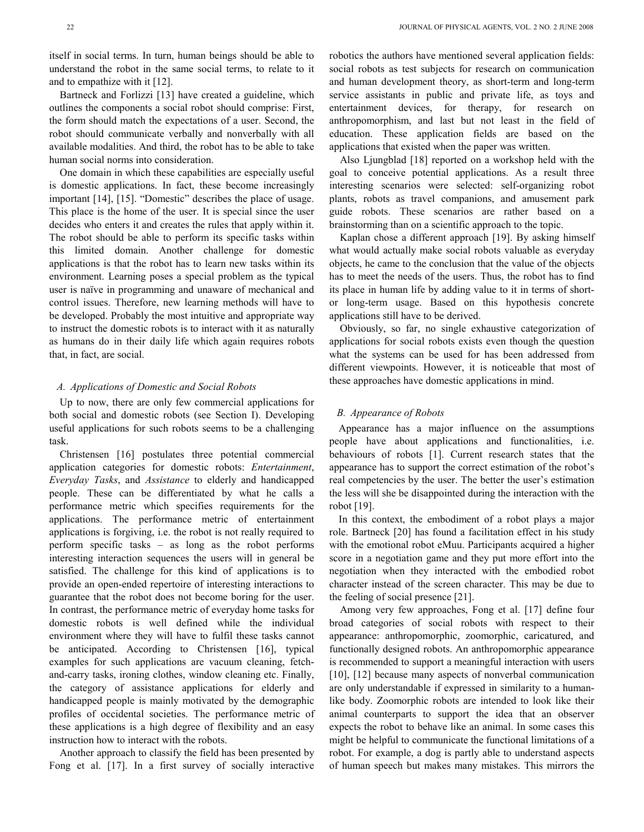Bartneck and Forlizzi [13] have created a guideline, which outlines the components a social robot should comprise: First, the form should match the expectations of a user. Second, the robot should communicate verbally and nonverbally with all available modalities. And third, the robot has to be able to take human social norms into consideration.

One domain in which these capabilities are especially useful is domestic applications. In fact, these become increasingly important [14], [15]. "Domestic" describes the place of usage. This place is the home of the user. It is special since the user decides who enters it and creates the rules that apply within it. The robot should be able to perform its specific tasks within this limited domain. Another challenge for domestic applications is that the robot has to learn new tasks within its environment. Learning poses a special problem as the typical user is naïve in programming and unaware of mechanical and control issues. Therefore, new learning methods will have to be developed. Probably the most intuitive and appropriate way to instruct the domestic robots is to interact with it as naturally as humans do in their daily life which again requires robots that, in fact, are social.

## *A. Applications of Domestic and Social Robots*

Up to now, there are only few commercial applications for both social and domestic robots (see Section I). Developing useful applications for such robots seems to be a challenging task.

Christensen [16] postulates three potential commercial application categories for domestic robots: *Entertainment*, *Everyday Tasks*, and *Assistance* to elderly and handicapped people. These can be differentiated by what he calls a performance metric which specifies requirements for the applications. The performance metric of entertainment applications is forgiving, i.e. the robot is not really required to perform specific tasks – as long as the robot performs interesting interaction sequences the users will in general be satisfied. The challenge for this kind of applications is to provide an open-ended repertoire of interesting interactions to guarantee that the robot does not become boring for the user. In contrast, the performance metric of everyday home tasks for domestic robots is well defined while the individual environment where they will have to fulfil these tasks cannot be anticipated. According to Christensen [16], typical examples for such applications are vacuum cleaning, fetchand-carry tasks, ironing clothes, window cleaning etc. Finally, the category of assistance applications for elderly and handicapped people is mainly motivated by the demographic profiles of occidental societies. The performance metric of these applications is a high degree of flexibility and an easy instruction how to interact with the robots.

Another approach to classify the field has been presented by Fong et al. [17]. In a first survey of socially interactive robotics the authors have mentioned several application fields: social robots as test subjects for research on communication and human development theory, as short-term and long-term service assistants in public and private life, as toys and entertainment devices, for therapy, for research on anthropomorphism, and last but not least in the field of education. These application fields are based on the applications that existed when the paper was written.

Also Ljungblad [18] reported on a workshop held with the goal to conceive potential applications. As a result three interesting scenarios were selected: self-organizing robot plants, robots as travel companions, and amusement park guide robots. These scenarios are rather based on a brainstorming than on a scientific approach to the topic.

Kaplan chose a different approach [19]. By asking himself what would actually make social robots valuable as everyday objects, he came to the conclusion that the value of the objects has to meet the needs of the users. Thus, the robot has to find its place in human life by adding value to it in terms of shortor long-term usage. Based on this hypothesis concrete applications still have to be derived.

Obviously, so far, no single exhaustive categorization of applications for social robots exists even though the question what the systems can be used for has been addressed from different viewpoints. However, it is noticeable that most of these approaches have domestic applications in mind.

## *B. Appearance of Robots*

Appearance has a major influence on the assumptions people have about applications and functionalities, i.e. behaviours of robots [1]. Current research states that the appearance has to support the correct estimation of the robot's real competencies by the user. The better the user's estimation the less will she be disappointed during the interaction with the robot [19].

In this context, the embodiment of a robot plays a major role. Bartneck [20] has found a facilitation effect in his study with the emotional robot eMuu. Participants acquired a higher score in a negotiation game and they put more effort into the negotiation when they interacted with the embodied robot character instead of the screen character. This may be due to the feeling of social presence [21].

Among very few approaches, Fong et al. [17] define four broad categories of social robots with respect to their appearance: anthropomorphic, zoomorphic, caricatured, and functionally designed robots. An anthropomorphic appearance is recommended to support a meaningful interaction with users [10], [12] because many aspects of nonverbal communication are only understandable if expressed in similarity to a humanlike body. Zoomorphic robots are intended to look like their animal counterparts to support the idea that an observer expects the robot to behave like an animal. In some cases this might be helpful to communicate the functional limitations of a robot. For example, a dog is partly able to understand aspects of human speech but makes many mistakes. This mirrors the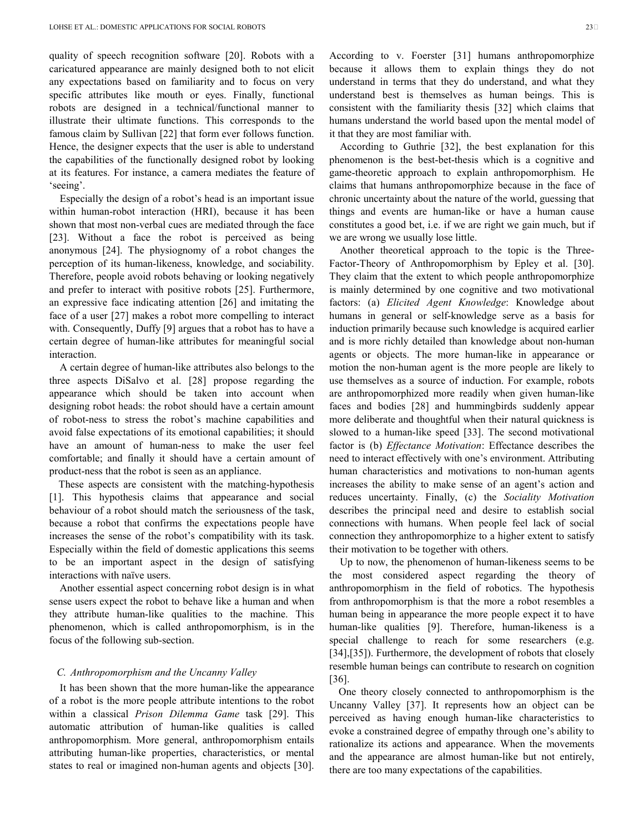quality of speech recognition software [20]. Robots with a caricatured appearance are mainly designed both to not elicit any expectations based on familiarity and to focus on very specific attributes like mouth or eyes. Finally, functional robots are designed in a technical/functional manner to illustrate their ultimate functions. This corresponds to the famous claim by Sullivan [22] that form ever follows function. Hence, the designer expects that the user is able to understand the capabilities of the functionally designed robot by looking at its features. For instance, a camera mediates the feature of 'seeing'.

Especially the design of a robot's head is an important issue within human-robot interaction (HRI), because it has been shown that most non-verbal cues are mediated through the face [23]. Without a face the robot is perceived as being anonymous [24]. The physiognomy of a robot changes the perception of its human-likeness, knowledge, and sociability. Therefore, people avoid robots behaving or looking negatively and prefer to interact with positive robots [25]. Furthermore, an expressive face indicating attention [26] and imitating the face of a user [27] makes a robot more compelling to interact with. Consequently, Duffy [9] argues that a robot has to have a certain degree of human-like attributes for meaningful social interaction.

A certain degree of human-like attributes also belongs to the three aspects DiSalvo et al. [28] propose regarding the appearance which should be taken into account when designing robot heads: the robot should have a certain amount of robot-ness to stress the robot's machine capabilities and avoid false expectations of its emotional capabilities; it should have an amount of human-ness to make the user feel comfortable; and finally it should have a certain amount of product-ness that the robot is seen as an appliance.

These aspects are consistent with the matching-hypothesis [1]. This hypothesis claims that appearance and social behaviour of a robot should match the seriousness of the task, because a robot that confirms the expectations people have increases the sense of the robot's compatibility with its task. Especially within the field of domestic applications this seems to be an important aspect in the design of satisfying interactions with naïve users.

Another essential aspect concerning robot design is in what sense users expect the robot to behave like a human and when they attribute human-like qualities to the machine. This phenomenon, which is called anthropomorphism, is in the focus of the following sub-section.

## *C. Anthropomorphism and the Uncanny Valley*

It has been shown that the more human-like the appearance of a robot is the more people attribute intentions to the robot within a classical *Prison Dilemma Game* task [29]. This automatic attribution of human-like qualities is called anthropomorphism. More general, anthropomorphism entails attributing human-like properties, characteristics, or mental states to real or imagined non-human agents and objects [30].

According to v. Foerster [31] humans anthropomorphize because it allows them to explain things they do not understand in terms that they do understand, and what they understand best is themselves as human beings. This is consistent with the familiarity thesis [32] which claims that humans understand the world based upon the mental model of it that they are most familiar with.

According to Guthrie [32], the best explanation for this phenomenon is the best-bet-thesis which is a cognitive and game-theoretic approach to explain anthropomorphism. He claims that humans anthropomorphize because in the face of chronic uncertainty about the nature of the world, guessing that things and events are human-like or have a human cause constitutes a good bet, i.e. if we are right we gain much, but if we are wrong we usually lose little.

Another theoretical approach to the topic is the Three-Factor-Theory of Anthropomorphism by Epley et al. [30]. They claim that the extent to which people anthropomorphize is mainly determined by one cognitive and two motivational factors: (a) *Elicited Agent Knowledge*: Knowledge about humans in general or self-knowledge serve as a basis for induction primarily because such knowledge is acquired earlier and is more richly detailed than knowledge about non-human agents or objects. The more human-like in appearance or motion the non-human agent is the more people are likely to use themselves as a source of induction. For example, robots are anthropomorphized more readily when given human-like faces and bodies [28] and hummingbirds suddenly appear more deliberate and thoughtful when their natural quickness is slowed to a human-like speed [33]. The second motivational factor is (b) *Effectance Motivation*: Effectance describes the need to interact effectively with one's environment. Attributing human characteristics and motivations to non-human agents increases the ability to make sense of an agent's action and reduces uncertainty. Finally, (c) the *Sociality Motivation* describes the principal need and desire to establish social connections with humans. When people feel lack of social connection they anthropomorphize to a higher extent to satisfy their motivation to be together with others.

Up to now, the phenomenon of human-likeness seems to be the most considered aspect regarding the theory of anthropomorphism in the field of robotics. The hypothesis from anthropomorphism is that the more a robot resembles a human being in appearance the more people expect it to have human-like qualities [9]. Therefore, human-likeness is a special challenge to reach for some researchers (e.g. [34],[35]). Furthermore, the development of robots that closely resemble human beings can contribute to research on cognition [36].

One theory closely connected to anthropomorphism is the Uncanny Valley [37]. It represents how an object can be perceived as having enough human-like characteristics to evoke a constrained degree of empathy through one's ability to rationalize its actions and appearance. When the movements and the appearance are almost human-like but not entirely, there are too many expectations of the capabilities.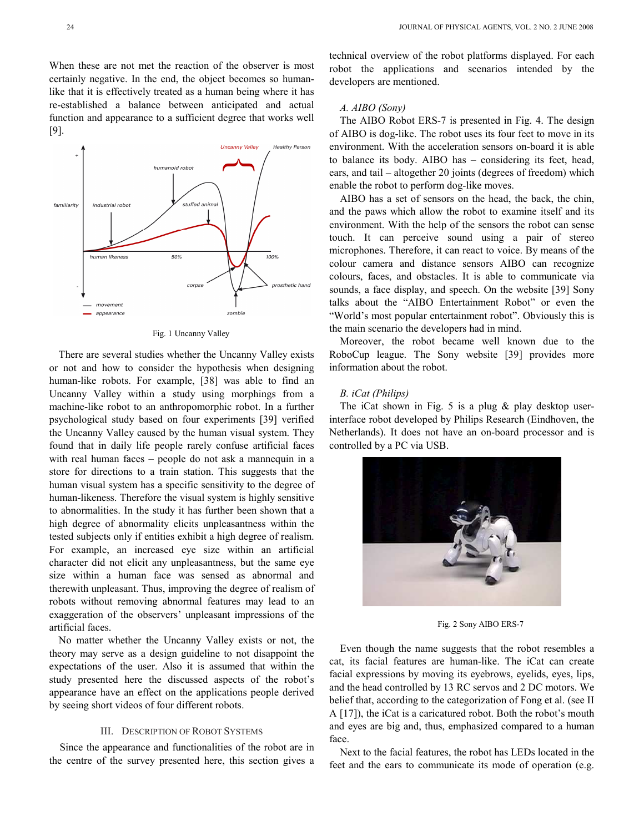When these are not met the reaction of the observer is most certainly negative. In the end, the object becomes so humanlike that it is effectively treated as a human being where it has re-established a balance between anticipated and actual function and appearance to a sufficient degree that works well [9].



Fig. 1 Uncanny Valley

There are several studies whether the Uncanny Valley exists or not and how to consider the hypothesis when designing human-like robots. For example, [38] was able to find an Uncanny Valley within a study using morphings from a machine-like robot to an anthropomorphic robot. In a further psychological study based on four experiments [39] verified the Uncanny Valley caused by the human visual system. They found that in daily life people rarely confuse artificial faces with real human faces – people do not ask a mannequin in a store for directions to a train station. This suggests that the human visual system has a specific sensitivity to the degree of human-likeness. Therefore the visual system is highly sensitive to abnormalities. In the study it has further been shown that a high degree of abnormality elicits unpleasantness within the tested subjects only if entities exhibit a high degree of realism. For example, an increased eye size within an artificial character did not elicit any unpleasantness, but the same eye size within a human face was sensed as abnormal and therewith unpleasant. Thus, improving the degree of realism of robots without removing abnormal features may lead to an exaggeration of the observers' unpleasant impressions of the artificial faces.

No matter whether the Uncanny Valley exists or not, the theory may serve as a design guideline to not disappoint the expectations of the user. Also it is assumed that within the study presented here the discussed aspects of the robot's appearance have an effect on the applications people derived by seeing short videos of four different robots.

## III. DESCRIPTION OF ROBOT SYSTEMS

Since the appearance and functionalities of the robot are in the centre of the survey presented here, this section gives a

technical overview of the robot platforms displayed. For each robot the applications and scenarios intended by the developers are mentioned.

## *A. AIBO (Sony)*

The AIBO Robot ERS-7 is presented in Fig. 4. The design of AIBO is dog-like. The robot uses its four feet to move in its environment. With the acceleration sensors on-board it is able to balance its body. AIBO has – considering its feet, head, ears, and tail – altogether 20 joints (degrees of freedom) which enable the robot to perform dog-like moves.

AIBO has a set of sensors on the head, the back, the chin, and the paws which allow the robot to examine itself and its environment. With the help of the sensors the robot can sense touch. It can perceive sound using a pair of stereo microphones. Therefore, it can react to voice. By means of the colour camera and distance sensors AIBO can recognize colours, faces, and obstacles. It is able to communicate via sounds, a face display, and speech. On the website [39] Sony talks about the "AIBO Entertainment Robot" or even the "World's most popular entertainment robot". Obviously this is the main scenario the developers had in mind.

Moreover, the robot became well known due to the RoboCup league. The Sony website [39] provides more information about the robot.

# *B. iCat (Philips)*

The iCat shown in Fig. 5 is a plug  $\&$  play desktop userinterface robot developed by Philips Research (Eindhoven, the Netherlands). It does not have an on-board processor and is controlled by a PC via USB.



Fig. 2 Sony AIBO ERS-7

Even though the name suggests that the robot resembles a cat, its facial features are human-like. The iCat can create facial expressions by moving its eyebrows, eyelids, eyes, lips, and the head controlled by 13 RC servos and 2 DC motors. We belief that, according to the categorization of Fong et al. (see II A [17]), the iCat is a caricatured robot. Both the robot's mouth and eyes are big and, thus, emphasized compared to a human face.

 Next to the facial features, the robot has LEDs located in the feet and the ears to communicate its mode of operation (e.g.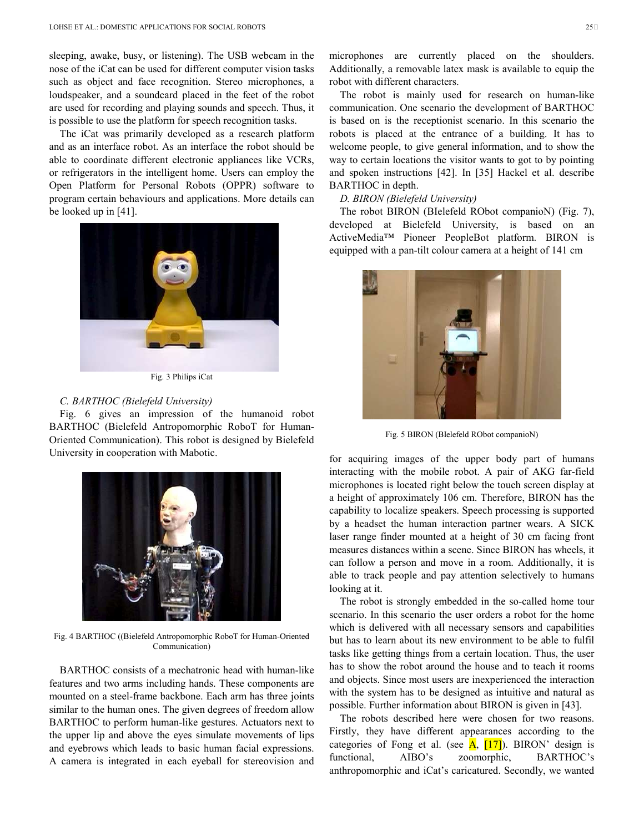sleeping, awake, busy, or listening). The USB webcam in the nose of the iCat can be used for different computer vision tasks such as object and face recognition. Stereo microphones, a loudspeaker, and a soundcard placed in the feet of the robot are used for recording and playing sounds and speech. Thus, it is possible to use the platform for speech recognition tasks.

The iCat was primarily developed as a research platform and as an interface robot. As an interface the robot should be able to coordinate different electronic appliances like VCRs, or refrigerators in the intelligent home. Users can employ the Open Platform for Personal Robots (OPPR) software to program certain behaviours and applications. More details can be looked up in [41].



Fig. 3 Philips iCat

## *C. BARTHOC (Bielefeld University)*

Fig. 6 gives an impression of the humanoid robot BARTHOC (Bielefeld Antropomorphic RoboT for Human-Oriented Communication). This robot is designed by Bielefeld University in cooperation with Mabotic.



Fig. 4 BARTHOC ((Bielefeld Antropomorphic RoboT for Human-Oriented Communication)

BARTHOC consists of a mechatronic head with human-like features and two arms including hands. These components are mounted on a steel-frame backbone. Each arm has three joints similar to the human ones. The given degrees of freedom allow BARTHOC to perform human-like gestures. Actuators next to the upper lip and above the eyes simulate movements of lips and eyebrows which leads to basic human facial expressions. A camera is integrated in each eyeball for stereovision and microphones are currently placed on the shoulders. Additionally, a removable latex mask is available to equip the robot with different characters.

The robot is mainly used for research on human-like communication. One scenario the development of BARTHOC is based on is the receptionist scenario. In this scenario the robots is placed at the entrance of a building. It has to welcome people, to give general information, and to show the way to certain locations the visitor wants to got to by pointing and spoken instructions [42]. In [35] Hackel et al. describe BARTHOC in depth.

## *D. BIRON (Bielefeld University)*

The robot BIRON (BIelefeld RObot companioN) (Fig. 7), developed at Bielefeld University, is based on an ActiveMedia™ Pioneer PeopleBot platform. BIRON is equipped with a pan-tilt colour camera at a height of 141 cm



Fig. 5 BIRON (BIelefeld RObot companioN)

for acquiring images of the upper body part of humans interacting with the mobile robot. A pair of AKG far-field microphones is located right below the touch screen display at a height of approximately 106 cm. Therefore, BIRON has the capability to localize speakers. Speech processing is supported by a headset the human interaction partner wears. A SICK laser range finder mounted at a height of 30 cm facing front measures distances within a scene. Since BIRON has wheels, it can follow a person and move in a room. Additionally, it is able to track people and pay attention selectively to humans looking at it.

The robot is strongly embedded in the so-called home tour scenario. In this scenario the user orders a robot for the home which is delivered with all necessary sensors and capabilities but has to learn about its new environment to be able to fulfil tasks like getting things from a certain location. Thus, the user has to show the robot around the house and to teach it rooms and objects. Since most users are inexperienced the interaction with the system has to be designed as intuitive and natural as possible. Further information about BIRON is given in [43].

The robots described here were chosen for two reasons. Firstly, they have different appearances according to the categories of Fong et al. (see  $\overline{A}$ , [17]). BIRON' design is functional, AIBO's zoomorphic, BARTHOC's anthropomorphic and iCat's caricatured. Secondly, we wanted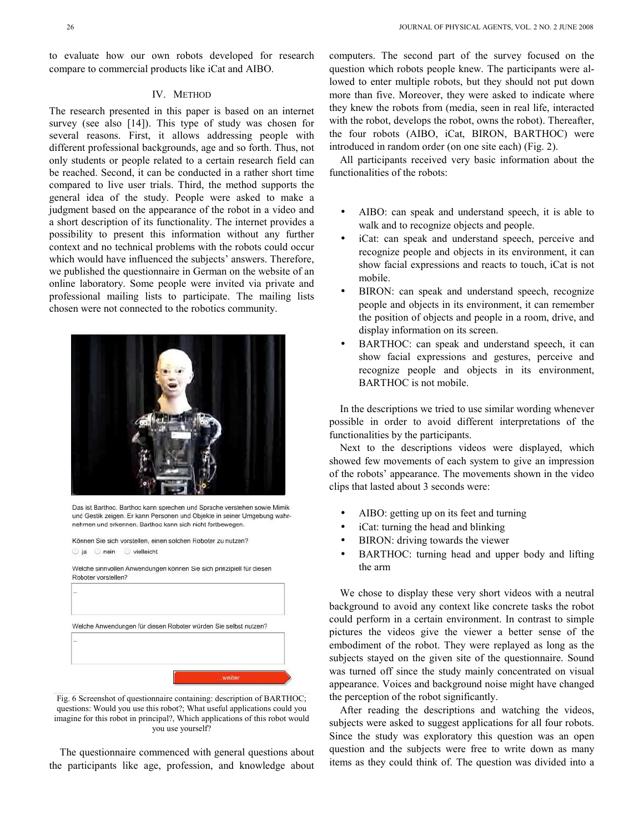to evaluate how our own robots developed for research compare to commercial products like iCat and AIBO.

## IV. METHOD

The research presented in this paper is based on an internet survey (see also [14]). This type of study was chosen for several reasons. First, it allows addressing people with different professional backgrounds, age and so forth. Thus, not only students or people related to a certain research field can be reached. Second, it can be conducted in a rather short time compared to live user trials. Third, the method supports the general idea of the study. People were asked to make a judgment based on the appearance of the robot in a video and a short description of its functionality. The internet provides a possibility to present this information without any further context and no technical problems with the robots could occur which would have influenced the subjects' answers. Therefore, we published the questionnaire in German on the website of an online laboratory. Some people were invited via private and professional mailing lists to participate. The mailing lists chosen were not connected to the robotics community.



Das ist Barthoc, Barthoc kann sprechen und Sprache verstehen sowie Mimik und Gestik zeigen. Er kann Personen und Objekte in seiner Umgebung wahrnehmen und erkennen. Barthoc kann sich nicht fortbewegen.

| la | $Q$ nein            | vielleicht |  | Können Sie sich vorstellen, einen solchen Roboter zu nutzen?    |                                                                      |  |
|----|---------------------|------------|--|-----------------------------------------------------------------|----------------------------------------------------------------------|--|
|    | Roboter vorstellen? |            |  |                                                                 | Welche sinnvollen Anwendungen können Sie sich prinzipiell für diesen |  |
| ÷  |                     |            |  |                                                                 |                                                                      |  |
|    |                     |            |  |                                                                 |                                                                      |  |
|    |                     |            |  | Welche Anwendungen für diesen Roboter würden Sie selbst nutzen? |                                                                      |  |
|    |                     |            |  |                                                                 |                                                                      |  |
|    |                     |            |  |                                                                 |                                                                      |  |
|    |                     |            |  |                                                                 |                                                                      |  |

Fig. 6 Screenshot of questionnaire containing: description of BARTHOC; questions: Would you use this robot?; What useful applications could you imagine for this robot in principal?, Which applications of this robot would you use yourself?

The questionnaire commenced with general questions about the participants like age, profession, and knowledge about computers. The second part of the survey focused on the question which robots people knew. The participants were allowed to enter multiple robots, but they should not put down more than five. Moreover, they were asked to indicate where they knew the robots from (media, seen in real life, interacted with the robot, develops the robot, owns the robot). Thereafter, the four robots (AIBO, iCat, BIRON, BARTHOC) were introduced in random order (on one site each) (Fig. 2).

All participants received very basic information about the functionalities of the robots:

- AIBO: can speak and understand speech, it is able to walk and to recognize objects and people.
- iCat: can speak and understand speech, perceive and recognize people and objects in its environment, it can show facial expressions and reacts to touch, iCat is not mobile.
- BIRON: can speak and understand speech, recognize people and objects in its environment, it can remember the position of objects and people in a room, drive, and display information on its screen.
- BARTHOC: can speak and understand speech, it can show facial expressions and gestures, perceive and recognize people and objects in its environment, BARTHOC is not mobile.

In the descriptions we tried to use similar wording whenever possible in order to avoid different interpretations of the functionalities by the participants.

Next to the descriptions videos were displayed, which showed few movements of each system to give an impression of the robots' appearance. The movements shown in the video clips that lasted about 3 seconds were:

- AIBO: getting up on its feet and turning
- iCat: turning the head and blinking
- BIRON: driving towards the viewer
- BARTHOC: turning head and upper body and lifting the arm

We chose to display these very short videos with a neutral background to avoid any context like concrete tasks the robot could perform in a certain environment. In contrast to simple pictures the videos give the viewer a better sense of the embodiment of the robot. They were replayed as long as the subjects stayed on the given site of the questionnaire. Sound was turned off since the study mainly concentrated on visual appearance. Voices and background noise might have changed the perception of the robot significantly.

After reading the descriptions and watching the videos, subjects were asked to suggest applications for all four robots. Since the study was exploratory this question was an open question and the subjects were free to write down as many items as they could think of. The question was divided into a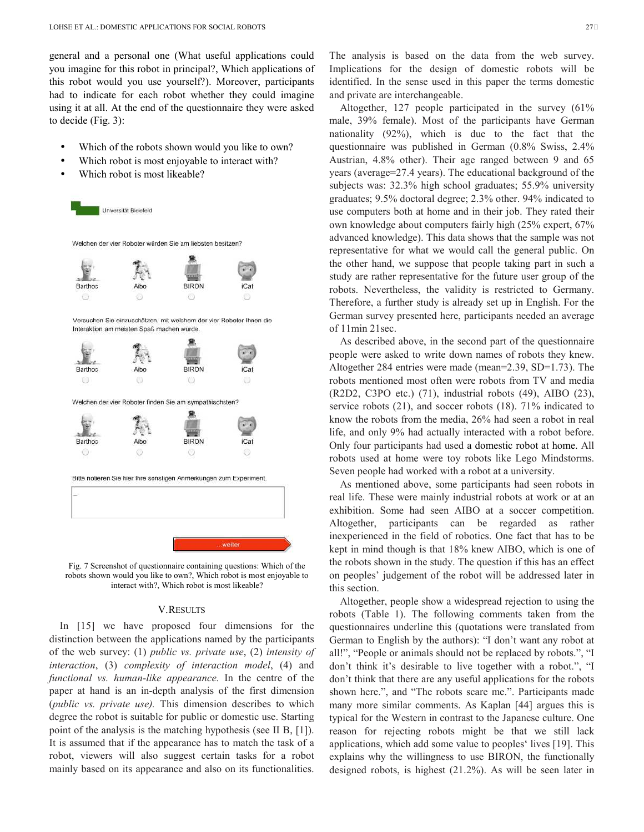general and a personal one (What useful applications could you imagine for this robot in principal?, Which applications of this robot would you use yourself?). Moreover, participants had to indicate for each robot whether they could imagine using it at all. At the end of the questionnaire they were asked to decide (Fig. 3):

- Which of the robots shown would you like to own?
- Which robot is most enjoyable to interact with?
- Which robot is most likeable?



Fig. 7 Screenshot of questionnaire containing questions: Which of the robots shown would you like to own?, Which robot is most enjoyable to interact with?, Which robot is most likeable?

## V.RESULTS

In [15] we have proposed four dimensions for the distinction between the applications named by the participants of the web survey: (1) *public vs. private use*, (2) *intensity of interaction*, (3) *complexity of interaction model*, (4) and *functional vs. human-like appearance.* In the centre of the paper at hand is an in-depth analysis of the first dimension (*public vs. private use).* This dimension describes to which degree the robot is suitable for public or domestic use. Starting point of the analysis is the matching hypothesis (see II B, [1]). It is assumed that if the appearance has to match the task of a robot, viewers will also suggest certain tasks for a robot mainly based on its appearance and also on its functionalities.

The analysis is based on the data from the web survey. Implications for the design of domestic robots will be identified. In the sense used in this paper the terms domestic and private are interchangeable.

Altogether, 127 people participated in the survey (61% male, 39% female). Most of the participants have German nationality (92%), which is due to the fact that the questionnaire was published in German (0.8% Swiss, 2.4% Austrian, 4.8% other). Their age ranged between 9 and 65 years (average=27.4 years). The educational background of the subjects was: 32.3% high school graduates; 55.9% university graduates; 9.5% doctoral degree; 2.3% other. 94% indicated to use computers both at home and in their job. They rated their own knowledge about computers fairly high (25% expert, 67% advanced knowledge). This data shows that the sample was not representative for what we would call the general public. On the other hand, we suppose that people taking part in such a study are rather representative for the future user group of the robots. Nevertheless, the validity is restricted to Germany. Therefore, a further study is already set up in English. For the German survey presented here, participants needed an average of 11min 21sec.

As described above, in the second part of the questionnaire people were asked to write down names of robots they knew. Altogether 284 entries were made (mean=2.39, SD=1.73). The robots mentioned most often were robots from TV and media (R2D2, C3PO etc.) (71), industrial robots (49), AIBO (23), service robots (21), and soccer robots (18). 71% indicated to know the robots from the media, 26% had seen a robot in real life, and only 9% had actually interacted with a robot before. Only four participants had used a domestic robot at home. All robots used at home were toy robots like Lego Mindstorms. Seven people had worked with a robot at a university.

As mentioned above, some participants had seen robots in real life. These were mainly industrial robots at work or at an exhibition. Some had seen AIBO at a soccer competition. Altogether, participants can be regarded as rather inexperienced in the field of robotics. One fact that has to be kept in mind though is that 18% knew AIBO, which is one of the robots shown in the study. The question if this has an effect on peoples' judgement of the robot will be addressed later in this section.

Altogether, people show a widespread rejection to using the robots (Table 1). The following comments taken from the questionnaires underline this (quotations were translated from German to English by the authors): "I don't want any robot at all!", "People or animals should not be replaced by robots.", "I don't think it's desirable to live together with a robot.", "I don't think that there are any useful applications for the robots shown here.", and "The robots scare me.". Participants made many more similar comments. As Kaplan [44] argues this is typical for the Western in contrast to the Japanese culture. One reason for rejecting robots might be that we still lack applications, which add some value to peoples' lives [19]. This explains why the willingness to use BIRON, the functionally designed robots, is highest (21.2%). As will be seen later in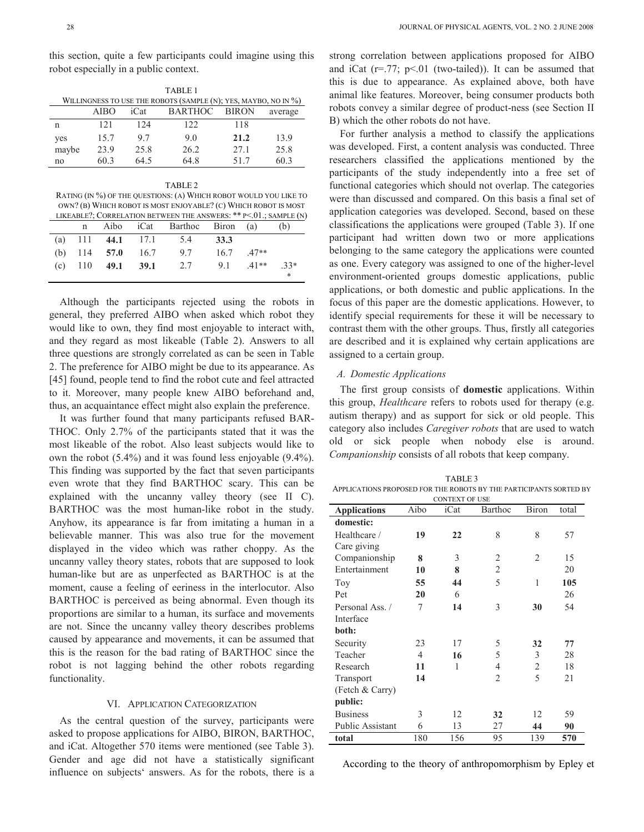this section, quite a few participants could imagine using this robot especially in a public context.

|       | TABLE 1     |      |                                                                 |              |         |  |  |  |
|-------|-------------|------|-----------------------------------------------------------------|--------------|---------|--|--|--|
|       |             |      | WILLINGNESS TO USE THE ROBOTS (SAMPLE (N); YES, MAYBO, NO IN %) |              |         |  |  |  |
|       | <b>AIBO</b> | iCat | <b>BARTHOC</b>                                                  | <b>BIRON</b> | average |  |  |  |
| n     | 121         | 124  | 122                                                             | 118          |         |  |  |  |
| yes   | 15.7        | 97   | 9.0                                                             | 21.2         | 13.9    |  |  |  |
| maybe | 23.9        | 25.8 | 26.2                                                            | 27.1         | 25.8    |  |  |  |
| no    | 60.3        | 64.5 | 64.8                                                            | 517          | 60.3    |  |  |  |

RATING (IN %) OF THE QUESTIONS: (A) WHICH ROBOT WOULD YOU LIKE TO OWN? (B) WHICH ROBOT IS MOST ENJOYABLE? (C) WHICH ROBOT IS MOST LIKEABLE?; CORRELATION BETWEEN THE ANSWERS: \*\* P<.01.; SAMPLE (N)

|  |  | n Aibo iCat Barthoc Biron (a)                 |  | (b) |  |
|--|--|-----------------------------------------------|--|-----|--|
|  |  | (a) 111 44.1 17.1 5.4 33.3                    |  |     |  |
|  |  | (b) 114 57.0 16.7 9.7 16.7 .47**              |  |     |  |
|  |  | (c) 110 <b>49.1 39.1</b> 2.7 9.1 $.41**$ .33* |  |     |  |
|  |  |                                               |  | *   |  |

Although the participants rejected using the robots in general, they preferred AIBO when asked which robot they would like to own, they find most enjoyable to interact with, and they regard as most likeable (Table 2). Answers to all three questions are strongly correlated as can be seen in Table 2. The preference for AIBO might be due to its appearance. As [45] found, people tend to find the robot cute and feel attracted to it. Moreover, many people knew AIBO beforehand and, thus, an acquaintance effect might also explain the preference.

It was further found that many participants refused BAR-THOC. Only 2.7% of the participants stated that it was the most likeable of the robot. Also least subjects would like to own the robot (5.4%) and it was found less enjoyable (9.4%). This finding was supported by the fact that seven participants even wrote that they find BARTHOC scary. This can be explained with the uncanny valley theory (see II C). BARTHOC was the most human-like robot in the study. Anyhow, its appearance is far from imitating a human in a believable manner. This was also true for the movement displayed in the video which was rather choppy. As the uncanny valley theory states, robots that are supposed to look human-like but are as unperfected as BARTHOC is at the moment, cause a feeling of eeriness in the interlocutor. Also BARTHOC is perceived as being abnormal. Even though its proportions are similar to a human, its surface and movements are not. Since the uncanny valley theory describes problems caused by appearance and movements, it can be assumed that this is the reason for the bad rating of BARTHOC since the robot is not lagging behind the other robots regarding functionality.

## VI. APPLICATION CATEGORIZATION

As the central question of the survey, participants were asked to propose applications for AIBO, BIRON, BARTHOC, and iCat. Altogether 570 items were mentioned (see Table 3). Gender and age did not have a statistically significant influence on subjects' answers. As for the robots, there is a

strong correlation between applications proposed for AIBO and iCat  $(r=.77; p<.01$  (two-tailed)). It can be assumed that this is due to appearance. As explained above, both have animal like features. Moreover, being consumer products both robots convey a similar degree of product-ness (see Section II B) which the other robots do not have.

For further analysis a method to classify the applications was developed. First, a content analysis was conducted. Three researchers classified the applications mentioned by the participants of the study independently into a free set of functional categories which should not overlap. The categories were than discussed and compared. On this basis a final set of application categories was developed. Second, based on these classifications the applications were grouped (Table 3). If one participant had written down two or more applications belonging to the same category the applications were counted as one. Every category was assigned to one of the higher-level environment-oriented groups domestic applications, public applications, or both domestic and public applications. In the focus of this paper are the domestic applications. However, to identify special requirements for these it will be necessary to contrast them with the other groups. Thus, firstly all categories are described and it is explained why certain applications are assigned to a certain group.

## *A. Domestic Applications*

The first group consists of **domestic** applications. Within this group, *Healthcare* refers to robots used for therapy (e.g. autism therapy) and as support for sick or old people. This category also includes *Caregiver robots* that are used to watch old or sick people when nobody else is around. *Companionship* consists of all robots that keep company.

| TABLE 3                                                            |
|--------------------------------------------------------------------|
| APPLICATIONS PROPOSED FOR THE ROBOTS BY THE PARTICIPANTS SORTED BY |
| <b>CONTEXT OF USE</b>                                              |

| <b>Applications</b> | Aibo           | ON LLAT OF<br>iCat | Barthoc        | <b>Biron</b>   | total |
|---------------------|----------------|--------------------|----------------|----------------|-------|
| domestic:           |                |                    |                |                |       |
| Healthcare /        | 19             | 22                 | 8              | 8              | 57    |
| Care giving         |                |                    |                |                |       |
| Companionship       | 8              | 3                  | 2              | 2              | 15    |
| Entertainment       | 10             | 8                  | $\overline{2}$ |                | 20    |
| Toy                 | 55             | 44                 | 5              | 1              | 105   |
| Pet                 | 20             | 6                  |                |                | 26    |
| Personal Ass./      | 7              | 14                 | 3              | 30             | 54    |
| Interface           |                |                    |                |                |       |
| both:               |                |                    |                |                |       |
| Security            | 23             | 17                 | 5              | 32             | 77    |
| Teacher             | $\overline{4}$ | 16                 | 5              | 3              | 28    |
| Research            | 11             | 1                  | 4              | $\overline{2}$ | 18    |
| Transport           | 14             |                    | $\overline{2}$ | 5              | 21    |
| (Fetch & Carry)     |                |                    |                |                |       |
| public:             |                |                    |                |                |       |
| <b>Business</b>     | 3              | 12                 | 32             | 12             | 59    |
| Public Assistant    | 6              | 13                 | 27             | 44             | 90    |
| total               | 180            | 156                | 95             | 139            | 570   |

According to the theory of anthropomorphism by Epley et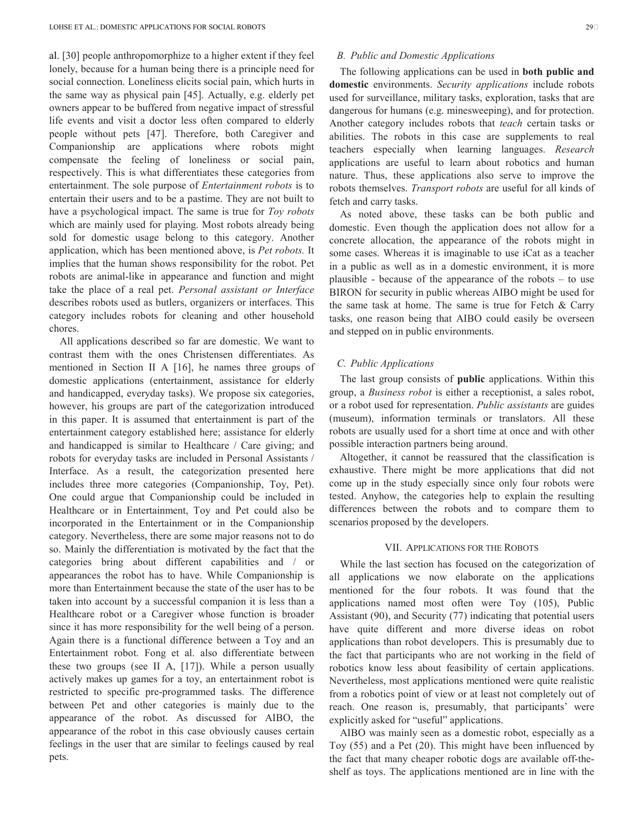al. [30] people anthropomorphize to a higher extent if they feel lonely, because for a human being there is a principle need for social connection. Loneliness elicits social pain, which hurts in the same way as physical pain [45]. Actually, e.g. elderly pet owners appear to be buffered from negative impact of stressful life events and visit a doctor less often compared to elderly people without pets [47]. Therefore, both Caregiver and Companionship are applications where robots might compensate the feeling of loneliness or social pain, respectively. This is what differentiates these categories from entertainment. The sole purpose of *Entertainment robots* is to entertain their users and to be a pastime. They are not built to have a psychological impact. The same is true for *Toy robots*  which are mainly used for playing. Most robots already being sold for domestic usage belong to this category. Another application, which has been mentioned above, is *Pet robots.* It implies that the human shows responsibility for the robot. Pet robots are animal-like in appearance and function and might take the place of a real pet. *Personal assistant or Interface* describes robots used as butlers, organizers or interfaces. This category includes robots for cleaning and other household chores.

All applications described so far are domestic. We want to contrast them with the ones Christensen differentiates. As mentioned in Section II A [16], he names three groups of domestic applications (entertainment, assistance for elderly and handicapped, everyday tasks). We propose six categories, however, his groups are part of the categorization introduced in this paper. It is assumed that entertainment is part of the entertainment category established here; assistance for elderly and handicapped is similar to Healthcare / Care giving; and robots for everyday tasks are included in Personal Assistants / Interface. As a result, the categorization presented here includes three more categories (Companionship, Toy, Pet). One could argue that Companionship could be included in Healthcare or in Entertainment, Toy and Pet could also be incorporated in the Entertainment or in the Companionship category. Nevertheless, there are some major reasons not to do so. Mainly the differentiation is motivated by the fact that the categories bring about different capabilities and / or appearances the robot has to have. While Companionship is more than Entertainment because the state of the user has to be taken into account by a successful companion it is less than a Healthcare robot or a Caregiver whose function is broader since it has more responsibility for the well being of a person. Again there is a functional difference between a Toy and an Entertainment robot. Fong et al. also differentiate between these two groups (see II A, [17]). While a person usually actively makes up games for a toy, an entertainment robot is restricted to specific pre-programmed tasks. The difference between Pet and other categories is mainly due to the appearance of the robot. As discussed for AIBO, the appearance of the robot in this case obviously causes certain feelings in the user that are similar to feelings caused by real pets.

# *B. Public and Domestic Applications*

The following applications can be used in **both public and domestic** environments. *Security applications* include robots used for surveillance, military tasks, exploration, tasks that are dangerous for humans (e.g. minesweeping), and for protection. Another category includes robots that *teach* certain tasks or abilities. The robots in this case are supplements to real teachers especially when learning languages. *Research* applications are useful to learn about robotics and human nature. Thus, these applications also serve to improve the robots themselves. *Transport robots* are useful for all kinds of fetch and carry tasks.

As noted above, these tasks can be both public and domestic. Even though the application does not allow for a concrete allocation, the appearance of the robots might in some cases. Whereas it is imaginable to use iCat as a teacher in a public as well as in a domestic environment, it is more plausible - because of the appearance of the robots – to use BIRON for security in public whereas AIBO might be used for the same task at home. The same is true for Fetch  $&$  Carry tasks, one reason being that AIBO could easily be overseen and stepped on in public environments.

## *C. Public Applications*

The last group consists of **public** applications. Within this group, a *Business robot* is either a receptionist, a sales robot, or a robot used for representation. *Public assistants* are guides (museum), information terminals or translators. All these robots are usually used for a short time at once and with other possible interaction partners being around.

Altogether, it cannot be reassured that the classification is exhaustive. There might be more applications that did not come up in the study especially since only four robots were tested. Anyhow, the categories help to explain the resulting differences between the robots and to compare them to scenarios proposed by the developers.

## VII. APPLICATIONS FOR THE ROBOTS

While the last section has focused on the categorization of all applications we now elaborate on the applications mentioned for the four robots. It was found that the applications named most often were Toy (105), Public Assistant (90), and Security (77) indicating that potential users have quite different and more diverse ideas on robot applications than robot developers. This is presumably due to the fact that participants who are not working in the field of robotics know less about feasibility of certain applications. Nevertheless, most applications mentioned were quite realistic from a robotics point of view or at least not completely out of reach. One reason is, presumably, that participants' were explicitly asked for "useful" applications.

AIBO was mainly seen as a domestic robot, especially as a Toy (55) and a Pet (20). This might have been influenced by the fact that many cheaper robotic dogs are available off-theshelf as toys. The applications mentioned are in line with the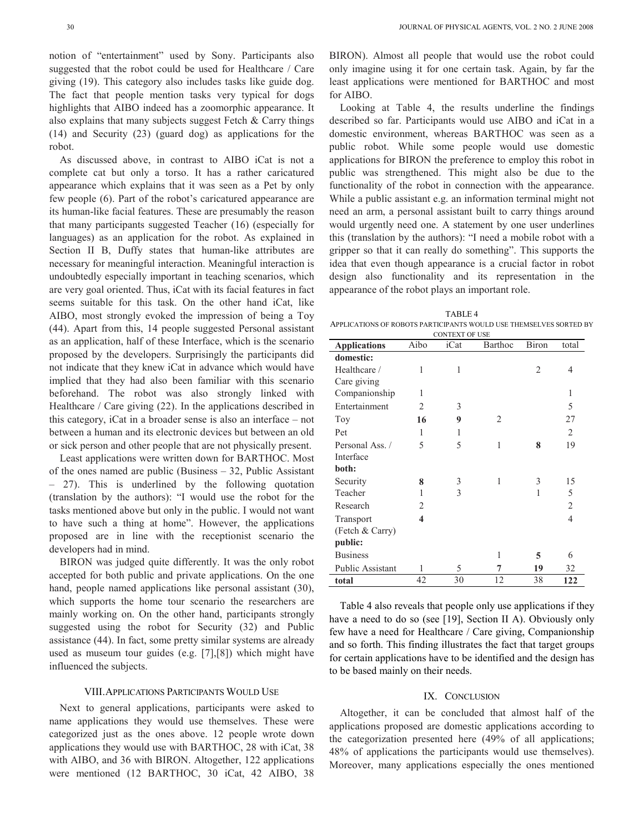notion of "entertainment" used by Sony. Participants also suggested that the robot could be used for Healthcare / Care giving (19). This category also includes tasks like guide dog. The fact that people mention tasks very typical for dogs highlights that AIBO indeed has a zoomorphic appearance. It also explains that many subjects suggest Fetch & Carry things (14) and Security (23) (guard dog) as applications for the robot.

As discussed above, in contrast to AIBO iCat is not a complete cat but only a torso. It has a rather caricatured appearance which explains that it was seen as a Pet by only few people (6). Part of the robot's caricatured appearance are its human-like facial features. These are presumably the reason that many participants suggested Teacher (16) (especially for languages) as an application for the robot. As explained in Section II B, Duffy states that human-like attributes are necessary for meaningful interaction. Meaningful interaction is undoubtedly especially important in teaching scenarios, which are very goal oriented. Thus, iCat with its facial features in fact seems suitable for this task. On the other hand iCat, like AIBO, most strongly evoked the impression of being a Toy (44). Apart from this, 14 people suggested Personal assistant as an application, half of these Interface, which is the scenario proposed by the developers. Surprisingly the participants did not indicate that they knew iCat in advance which would have implied that they had also been familiar with this scenario beforehand. The robot was also strongly linked with Healthcare / Care giving (22). In the applications described in this category, iCat in a broader sense is also an interface – not between a human and its electronic devices but between an old or sick person and other people that are not physically present.

Least applications were written down for BARTHOC. Most of the ones named are public (Business – 32, Public Assistant – 27). This is underlined by the following quotation (translation by the authors): "I would use the robot for the tasks mentioned above but only in the public. I would not want to have such a thing at home". However, the applications proposed are in line with the receptionist scenario the developers had in mind.

BIRON was judged quite differently. It was the only robot accepted for both public and private applications. On the one hand, people named applications like personal assistant (30), which supports the home tour scenario the researchers are mainly working on. On the other hand, participants strongly suggested using the robot for Security (32) and Public assistance (44). In fact, some pretty similar systems are already used as museum tour guides (e.g. [7],[8]) which might have influenced the subjects.

#### VIII.APPLICATIONS PARTICIPANTS WOULD USE

Next to general applications, participants were asked to name applications they would use themselves. These were categorized just as the ones above. 12 people wrote down applications they would use with BARTHOC, 28 with iCat, 38 with AIBO, and 36 with BIRON. Altogether, 122 applications were mentioned (12 BARTHOC, 30 iCat, 42 AIBO, 38

BIRON). Almost all people that would use the robot could only imagine using it for one certain task. Again, by far the least applications were mentioned for BARTHOC and most for AIBO.

Looking at Table 4, the results underline the findings described so far. Participants would use AIBO and iCat in a domestic environment, whereas BARTHOC was seen as a public robot. While some people would use domestic applications for BIRON the preference to employ this robot in public was strengthened. This might also be due to the functionality of the robot in connection with the appearance. While a public assistant e.g. an information terminal might not need an arm, a personal assistant built to carry things around would urgently need one. A statement by one user underlines this (translation by the authors): "I need a mobile robot with a gripper so that it can really do something". This supports the idea that even though appearance is a crucial factor in robot design also functionality and its representation in the appearance of the robot plays an important role.

TABLE 4 APPLICATIONS OF ROBOTS PARTICIPANTS WOULD USE THEMSELVES SORTED BY

| <b>CONTEXT OF USE</b>   |                |      |         |                |                |  |  |
|-------------------------|----------------|------|---------|----------------|----------------|--|--|
| <b>Applications</b>     | Aibo           | iCat | Barthoc | <b>Biron</b>   | total          |  |  |
| domestic:               |                |      |         |                |                |  |  |
| Healthcare /            | 1              | 1    |         | $\overline{c}$ | 4              |  |  |
| Care giving             |                |      |         |                |                |  |  |
| Companionship           | 1              |      |         |                | 1              |  |  |
| Entertainment           | $\overline{2}$ | 3    |         |                | 5              |  |  |
| Toy                     | 16             | 9    | 2       |                | 27             |  |  |
| Pet                     | 1              | 1    |         |                | $\overline{c}$ |  |  |
| Personal Ass./          | 5              | 5    | 1       | 8              | 19             |  |  |
| Interface               |                |      |         |                |                |  |  |
| both:                   |                |      |         |                |                |  |  |
| Security                | 8              | 3    | 1       | 3              | 15             |  |  |
| Teacher                 | 1              | 3    |         | 1              | 5              |  |  |
| Research                | $\overline{2}$ |      |         |                | $\overline{2}$ |  |  |
| Transport               | 4              |      |         |                | $\overline{4}$ |  |  |
| (Fetch & Carry)         |                |      |         |                |                |  |  |
| public:                 |                |      |         |                |                |  |  |
| <b>Business</b>         |                |      | 1       | 5              | 6              |  |  |
| <b>Public Assistant</b> | 1              | 5    | 7       | 19             | 32             |  |  |
| total                   | 42             | 30   | 12      | 38             | 122            |  |  |

Table 4 also reveals that people only use applications if they have a need to do so (see [19], Section II A). Obviously only few have a need for Healthcare / Care giving, Companionship and so forth. This finding illustrates the fact that target groups for certain applications have to be identified and the design has to be based mainly on their needs.

## IX. CONCLUSION

Altogether, it can be concluded that almost half of the applications proposed are domestic applications according to the categorization presented here (49% of all applications; 48% of applications the participants would use themselves). Moreover, many applications especially the ones mentioned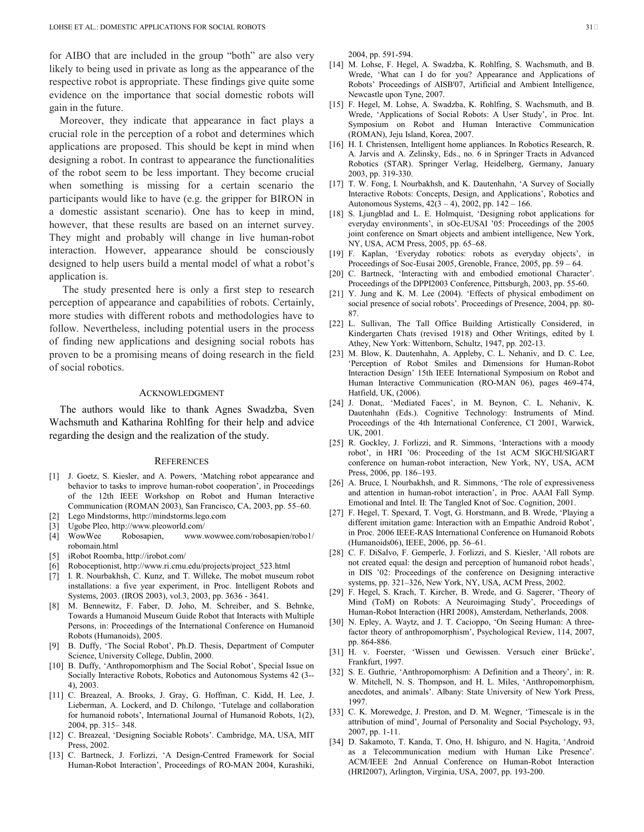for AIBO that are included in the group "both" are also very likely to being used in private as long as the appearance of the respective robot is appropriate. These findings give quite some evidence on the importance that social domestic robots will gain in the future.

Moreover, they indicate that appearance in fact plays a crucial role in the perception of a robot and determines which applications are proposed. This should be kept in mind when designing a robot. In contrast to appearance the functionalities of the robot seem to be less important. They become crucial when something is missing for a certain scenario the participants would like to have (e.g. the gripper for BIRON in a domestic assistant scenario). One has to keep in mind, however, that these results are based on an internet survey. They might and probably will change in live human-robot interaction. However, appearance should be consciously designed to help users build a mental model of what a robot's application is.

 The study presented here is only a first step to research perception of appearance and capabilities of robots. Certainly, more studies with different robots and methodologies have to follow. Nevertheless, including potential users in the process of finding new applications and designing social robots has proven to be a promising means of doing research in the field of social robotics.

#### ACKNOWLEDGMENT

The authors would like to thank Agnes Swadzba, Sven Wachsmuth and Katharina Rohlfing for their help and advice regarding the design and the realization of the study.

#### **REFERENCES**

- [1] J. Goetz, S. Kiesler, and A. Powers, 'Matching robot appearance and behavior to tasks to improve human-robot cooperation', in Proceedings of the 12th IEEE Workshop on Robot and Human Interactive Communication (ROMAN 2003), San Francisco, CA, 2003, pp. 55–60.
- [2] Lego Mindstorms, http://mindstorms.lego.com [3] Ugobe Pleo, http://www.pleoworld.com/
- [4] WowWee Robosapien, www.wowwee.com/robosapien/robo1/ robomain.html
- [5] iRobot Roomba, http://irobot.com/
- [6] Roboceptionist, http://www.ri.cmu.edu/projects/project\_523.html
- [7] I. R. Nourbakhsh, C. Kunz, and T. Willeke, The mobot museum robot installations: a five year experiment, in Proc. Intelligent Robots and Systems, 2003. (IROS 2003), vol.3, 2003, pp. 3636 - 3641.
- M. Bennewitz, F. Faber, D. Joho, M. Schreiber, and S. Behnke, Towards a Humanoid Museum Guide Robot that Interacts with Multiple Persons, in: Proceedings of the International Conference on Humanoid Robots (Humanoids), 2005.
- [9] B. Duffy, 'The Social Robot', Ph.D. Thesis, Department of Computer Science, University College, Dublin, 2000.
- [10] B. Duffy, 'Anthropomorphism and The Social Robot', Special Issue on Socially Interactive Robots, Robotics and Autonomous Systems 42 (3-- 4), 2003.
- [11] C. Breazeal, A. Brooks, J. Gray, G. Hoffman, C. Kidd, H. Lee, J. Lieberman, A. Lockerd, and D. Chilongo, 'Tutelage and collaboration for humanoid robots', International Journal of Humanoid Robots, 1(2), 2004, pp. 315– 348.
- [12] C. Breazeal, 'Designing Sociable Robots'. Cambridge, MA, USA, MIT Press, 2002.
- [13] C. Bartneck, J. Forlizzi, 'A Design-Centred Framework for Social Human-Robot Interaction', Proceedings of RO-MAN 2004, Kurashiki,

2004, pp. 591-594.

- [14] M. Lohse, F. Hegel, A. Swadzba, K. Rohlfing, S. Wachsmuth, and B. Wrede, 'What can I do for you? Appearance and Applications of Robots' Proceedings of AISB'07, Artificial and Ambient Intelligence, Newcastle upon Tyne, 2007.
- [15] F. Hegel, M. Lohse, A. Swadzba, K. Rohlfing, S. Wachsmuth, and B. Wrede, 'Applications of Social Robots: A User Study', in Proc. Int. Symposium on Robot and Human Interactive Communication (ROMAN), Jeju Island, Korea, 2007.
- [16] H. I. Christensen, Intelligent home appliances. In Robotics Research, R. A. Jarvis and A. Zelinsky, Eds., no. 6 in Springer Tracts in Advanced Robotics (STAR). Springer Verlag, Heidelberg, Germany, January 2003, pp. 319-330.
- [17] T. W. Fong, I. Nourbakhsh, and K. Dautenhahn, 'A Survey of Socially Interactive Robots: Concepts, Design, and Applications', Robotics and Autonomous Systems, 42(3 – 4), 2002, pp. 142 – 166.
- [18] S. Ljungblad and L. E. Holmquist, 'Designing robot applications for everyday environments', in sOc-EUSAI '05: Proceedings of the 2005 joint conference on Smart objects and ambient intelligence, New York, NY, USA, ACM Press, 2005, pp. 65–68.
- [19] F. Kaplan, 'Everyday robotics: robots as everyday objects', in Proceedings of Soc-Eusai 2005, Grenoble, France, 2005, pp. 59 – 64.
- [20] C. Bartneck, 'Interacting with and embodied emotional Character'. Proceedings of the DPPI2003 Conference, Pittsburgh, 2003, pp. 55-60.
- [21] Y. Jung and K. M. Lee (2004). 'Effects of physical embodiment on social presence of social robots'. Proceedings of Presence, 2004, pp. 80- 87.
- [22] L. Sullivan, The Tall Office Building Artistically Considered, in Kindergarten Chats (revised 1918) and Other Writings, edited by I. Athey, New York: Wittenborn, Schultz, 1947, pp. 202-13.
- [23] M. Blow, K. Dautenhahn, A. Appleby, C. L. Nehaniv, and D. C. Lee, 'Perception of Robot Smiles and Dimensions for Human-Robot Interaction Design' 15th IEEE International Symposium on Robot and Human Interactive Communication (RO-MAN 06), pages 469-474, Hatfield, UK, (2006).
- [24] J. Donat,. 'Mediated Faces', in M. Beynon, C. L. Nehaniv, K. Dautenhahn (Eds.). Cognitive Technology: Instruments of Mind. Proceedings of the 4th International Conference, CI 2001, Warwick, UK, 2001.
- [25] R. Gockley, J. Forlizzi, and R. Simmons, 'Interactions with a moody robot', in HRI '06: Proceeding of the 1st ACM SIGCHI/SIGART conference on human-robot interaction, New York, NY, USA, ACM Press, 2006, pp. 186–193.
- [26] A. Bruce, I. Nourbakhsh, and R. Simmons, 'The role of expressiveness and attention in human-robot interaction', in Proc. AAAI Fall Symp. Emotional and Intel. II: The Tangled Knot of Soc. Cognition, 2001.
- [27] F. Hegel, T. Spexard, T. Vogt, G. Horstmann, and B. Wrede, 'Playing a different imitation game: Interaction with an Empathic Android Robot', in Proc. 2006 IEEE-RAS International Conference on Humanoid Robots (Humanoids06), IEEE, 2006, pp. 56–61.
- [28] C. F. DiSalvo, F. Gemperle, J. Forlizzi, and S. Kiesler, 'All robots are not created equal: the design and perception of humanoid robot heads', in DIS '02: Proceedings of the conference on Designing interactive systems, pp. 321–326, New York, NY, USA, ACM Press, 2002.
- [29] F. Hegel, S. Krach, T. Kircher, B. Wrede, and G. Sagerer, 'Theory of Mind (ToM) on Robots: A Neuroimaging Study', Proceedings of Human-Robot Interaction (HRI 2008), Amsterdam, Netherlands, 2008.
- [30] N. Epley, A. Waytz, and J. T. Cacioppo, 'On Seeing Human: A threefactor theory of anthropomorphism', Psychological Review, 114, 2007, pp. 864-886.
- [31] H. v. Foerster, 'Wissen und Gewissen. Versuch einer Brücke', Frankfurt, 1997.
- [32] S. E. Guthrie, 'Anthropomorphism: A Definition and a Theory', in: R. W. Mitchell, N. S. Thompson, and H. L. Miles, 'Anthropomorphism, anecdotes, and animals'. Albany: State University of New York Press, 1997.
- [33] C. K. Morewedge, J. Preston, and D. M. Wegner, 'Timescale is in the attribution of mind', Journal of Personality and Social Psychology, 93, 2007, pp. 1-11.
- [34] D. Sakamoto, T. Kanda, T. Ono, H. Ishiguro, and N. Hagita, 'Android as a Telecommunication medium with Human Like Presence'. ACM/IEEE 2nd Annual Conference on Human-Robot Interaction (HRI2007), Arlington, Virginia, USA, 2007, pp. 193-200.